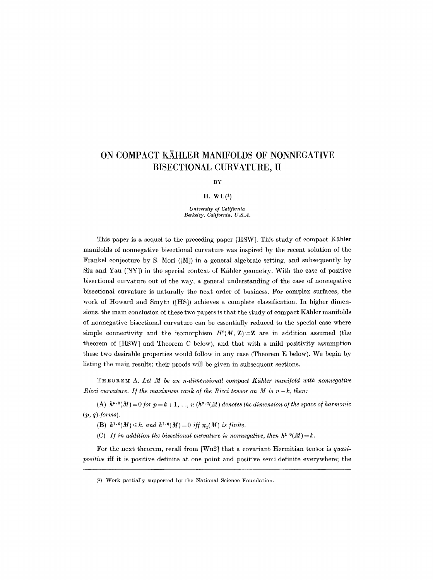# **ON COMPACT KAHLER MANIFOLDS OF NONNEGATIVE BISECTIONAL CURVATURE, II**

BY

#### $H. WU<sup>(1)</sup>$

*University of California Berkeley, California, U.S.A.* 

This paper is a sequel to the preceding paper [HSW]. This study of compact Kähler manifolds of nonnegative bisectional curvature was inspired by the recent solution of the Frankel conjecture by S. Mori ([M]) in a general algebraic setting, and subsequently by Siu and Yau  $([SY])$  in the special context of Kähler geometry. With the case of positive bisectional curvature out of the way, a general understanding of the case of nonnegative bisectional curvature is naturally the next order of business. For complex surfaces, the work of Howard and Smyth ([HS]) achieves a complete classification. In higher dimensions, the main conclusion of these two papers is that the study of compact Kahler manifolds of nonnegative bisectional curvature can be essentially reduced to the special case where simple connectivity and the isomorphism  $H^2(M, Z) \cong Z$  are in addition assumed (the theorem of [HSW] and Theorem C below), and that with a mild positivity assumption these two desirable properties would follow in any ease (Theorem E below). We begin by listing the main results; their proofs will be given in subsequent sections,

**THEOREM** A. *Let M be an n-dimensional compact Kghler mani/old with nonnegative Ricci curvature. If the maximum rank of the Ricci tensor on M is*  $n-k$ *, then:* 

(A)  $h^{p,0}(M) = 0$  for  $p = k + 1, ..., n$  ( $h^{p,q}(M)$  denotes the dimension of the space of harmonic (p, *q)-/orms).* 

(B)  $h^{1,0}(M) \leq k$ , and  $h^{1,0}(M) = 0$  iff  $\pi_1(M)$  is finite.

(C) *If in addition the bisectional curvature is nonnegative, then*  $h^{1,0}(M) = k$ .

For the next theorem, recall from [Wu2] that a covariant Hermitian tensor is *quasipositive* iff it is positive definite at one point and positive semi-definite everywhere; the

<sup>(1)</sup> Work partially supported by the National Science Foundation.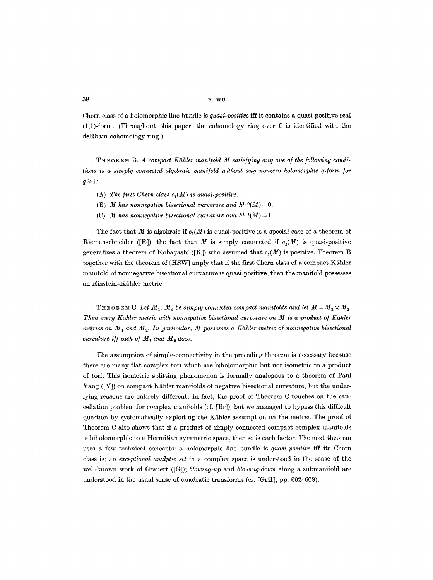**58**  $\mathbf{H} \cdot \mathbf{W} \mathbf{U}$ 

Chern class of a holomorphic line bundle is *quasi-positive* iff it contains a quasi-positive real  $(1,1)$ -form. (Throughout this paper, the cohomology ring over C is identified with the deRham cohomology ring.)

**THEOREM B.** A compact Kähler manifold M satisfying any one of the following condi*tions is a simply connected algebraic manifold without any nonzero holomorphic q-form/or*   $q \geqslant 1$ :

- (A) The first Chern class  $c_1(M)$  is quasi-positive.
- (B) *M* has nonnegative bisectional curvature and  $h^{1,0}(M) = 0$ .
- (C) *M* has nonnegative bisectional curvature and  $h^{1,1}(M)=1$ .

The fact that M is algebraic if  $c_1(M)$  is quasi-positive is a special case of a theorem of Riemenschneider ([R]); the fact that M is simply connected if  $c_i(M)$  is quasi-positive generalizes a theorem of Kobayashi ([K]) who assumed that  $c_1(M)$  is positive. Theorem B together with the theorem of [HSW] imply that if the first Chern class of a compact Kähler manifold of nonnegative bisectional curvature is quasi-positive, then the manifold possesses an Einstein-Kähler metric.

THEOREM C. Let  $M_1$ ,  $M_2$  be simply connected compact manifolds and let  $M \equiv M_1 \times M_2$ . *Then every Kähler metric with nonnegative bisectional curvature on M is a product of Kähler metrics on*  $M_1$  and  $M_2$ . In particular, M possesses a Kähler metric of nonnegative bisectional *curvature iff each of*  $M_1$  *and*  $M_2$  *does.* 

The assumption of simple-connectivity in the preceding theorem is necessary because there are many flat complex tori which are biholomorphic but not isometric to a product of tori. This isometric splitting phenomenon is formally analogous to a theorem of Paul Yang  $(|Y|)$  on compact Kähler manifolds of negative bisectional curvature, but the underlying reasons are entirely different. In fact, the proof of Theorem C touches on the cancellation problem for complex manifolds (cf. [Br]), but we managed to bypass this difficult question by systematically exploiting the Kähler assumption on the metric. The proof of Theorem C also shows that if a product of simply connected compact complex manifolds is biholomorphic to a Hermitian symmetric space, then so is each factor. The next theorem uses a few technical concepts: a holomorphic line bundle is *quasi-positive* iff its Chern class is; an *exceptional analytic set* in a complex space is understood in the sense of the well-known work of Grauert ([G]); *blowing-up* and *blowing-down* along a submanifold are understood in the usual sense of quadratic transforms (cf. [GrH], pp. 602-608).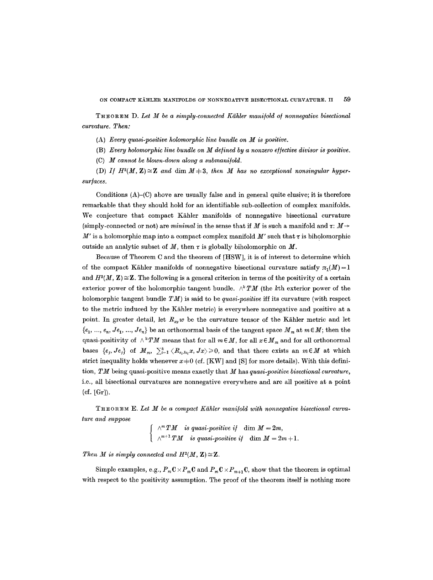THEOREM D. Let M be a simply-connected Kähler manifold of nonnegative bisectional *curvature. Then:* 

- (A) *Every quasi-positive holomorphic line bundle on M is positive.*
- (B) *Every holomorphic line bundle on M de/ined by a nonzero e//ective divisor is positive.*
- (C) *M* cannot be blown-down along a submanifold.

(D) If  $H^2(M, \mathbb{Z}) \cong \mathbb{Z}$  and  $\dim M+3$ , then M has no exceptional nonsingular hyper*sur/aces.* 

Conditions  $(A)$ - $(C)$  above are usually false and in general quite elusive; it is therefore remarkable that they should hold for an identifiable sub-collection of complex manifolds. We conjecture that compact Kähler manifolds of nonnegative bisectional curvature (simply-connected or not) are *minimal* in the sense that if M is such a manifold and  $\tau: M \rightarrow$ M' is a holomorphic map into a compact complex manifold M' such that  $\tau$  is biholomorphic outside an analytic subset of  $M$ , then  $\tau$  is globally biholomorphic on  $M$ .

Because of Theorem C and the theorem of [HSW], it is of interest to determine which of the compact Kähler manifolds of nonnegative bisectional curvature satisfy  $\pi_1(M)=1$ and  $H^2(M, \mathbb{Z}) \cong \mathbb{Z}$ . The following is a general criterion in terms of the positivity of a certain exterior power of the holomorphic tangent bundle.  $\wedge^k TM$  (the kth exterior power of the holomorphic tangent bundle *TM)* is said to be *quasi-positive* iff its curvature (with respect to the metric induced by the Kähler metric) is everywhere nonnegative and positive at a point. In greater detail, let  $R_{xy}$  w be the curvature tensor of the Kähler metric and let  $\{e_1, ..., e_n, Je_1, ..., Je_n\}$  be an orthonormal basis of the tangent space  $M_m$  at  $m \in M$ ; then the quasi-positivity of  $\wedge^k TM$  means that for all  $m \in M$ , for all  $x \in M_m$  and for all orthonormal bases  $\{e_i,Je_i\}$  of  $M_m$ ,  $\sum_{i=1}^k \langle R_{e_i}g_i, x, Jx \rangle \geq 0$ , and that there exists an  $m \in M$  at which strict inequality holds whenever  $x+0$  (cf. [KW] and [S] for more details). With this definition, *TM* being quasi-positive means exactly that M has *quasi-positive bisectional curvature,*  i.e., all bisectional curvatures are nonnegative everywhere and are all positive at a point (cf. [Gr]).

THEOREM E. *Let M be a compact Kbhler mani/old with nonnegative bisectional curvature and suppose* 

> $\wedge^m TM$  is quasi-positive if  $\dim M = 2m$ ,  $\wedge^{m+1} TM$  is quasi-positive if  $\dim M = 2m + 1$ .

*Then M is simply connected and H<sup>2</sup>(M, Z)*  $\cong$  **Z**.

Simple examples, e.g.,  $P_m \mathbb{C} \times P_m \mathbb{C}$  and  $P_m \mathbb{C} \times P_{m+1} \mathbb{C}$ , show that the theorem is optimal with respect to the positivity assumption. The proof of the theorem itself is nothing more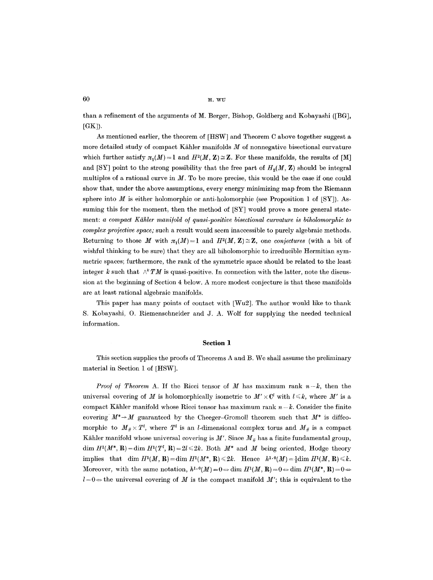$60$  **H**, WU

than a refinement of the arguments of M. Berger, Bishop, Goldberg and Kobayashi ([BG],  $[GK]$ ).

As mentioned earlier, the theorem of [HSW] and Theorem C above together suggest a more detailed study of compact Kähler manifolds  $M$  of nonnegative bisectional curvature which further satisfy  $\pi_1(M)=1$  and  $H^2(M, Z)\cong \mathbb{Z}$ . For these manifolds, the results of [M] and [SY] point to the strong possibility that the free part of  $H_o(M, Z)$  should be integral multiples of a rational curve in  $M$ . To be more precise, this would be the case if one could show that, under the above assumptions, every energy minimizing map from the Riemann sphere into  $M$  is either holomorphic or anti-holomorphic (see Proposition 1 of  $[SY]$ ). Assuming this for the moment, then the method of [SY] would prove a more general statement: *a compact Kähler manifold of quasi-positive bisectional curvature is biholomorphic to complex projective space;* such a result would seem inaccessible to purely algebraic methods. Returning to those M with  $\pi_1(M) = 1$  and  $H^2(M, Z) \cong \mathbb{Z}$ , one *conjectures* (with a bit of wishful thinking to be sure) that they are all biholomorphic to irreducible Hermitian symmetric spaces; furthermore, the rank of the symmetric space should be related to the least integer k such that  $\wedge^k TM$  is quasi-positive. In connection with the latter, note the discussion at the beginning of Section 4 below. A more modest conjecture is that these manifolds are at least rational algebraic manifolds.

This paper has many points of contact with [Wu2]. The author would like to thank S. Kobayashi, 0. Riemenschneider and J. A. Wolf for supplying the needed technical information.

#### **Section 1**

This section supplies the proofs of Theorems A and B. We shall assume the preliminary material in Section 1 of [HSW].

*Proof of Theorem A.* If the Ricci tensor of M has maximum rank  $n-k$ , then the universal covering of M is holomorphically isometric to  $M' \times \mathbb{C}^l$  with  $l \leq k$ , where M' is a compact Kähler manifold whose Ricci tensor has maximum rank  $n-k$ . Consider the finite covering  $M^*{\rightarrow} M$  guaranteed by the Cheeger-Gromoll theorem such that  $M^*$  is diffeomorphic to  $M_{\#} \times T^l$ , where  $T^l$  is an *l*-dimensional complex torus and  $M_{\#}$  is a compact Kähler manifold whose universal covering is  $M'$ . Since  $M_{\#}$  has a finite fundamental group, dim  $H^1(M^*, \mathbf{R}) = \dim H^1(T^l, \mathbf{R}) = 2l \leq 2k$ . Both  $M^*$  and M being oriented, Hodge theory implies that dim  $H^1(M, \mathbf{R}) = \dim H^1(M^*, \mathbf{R}) \leq 2k$ . Hence  $h^{1,0}(M) = \frac{1}{2} \dim H^1(M, \mathbf{R}) \leq k$ . Moreover, with the same notation,  $h^{1,0}(M)=0 \Leftrightarrow \text{dim } H^1(M,\mathbf{R})=0 \Leftrightarrow \text{dim } H^1(M^*,\mathbf{R})=0 \Leftrightarrow$  $l=0$   $\Rightarrow$  the universal covering of M is the compact manifold M'; this is equivalent to the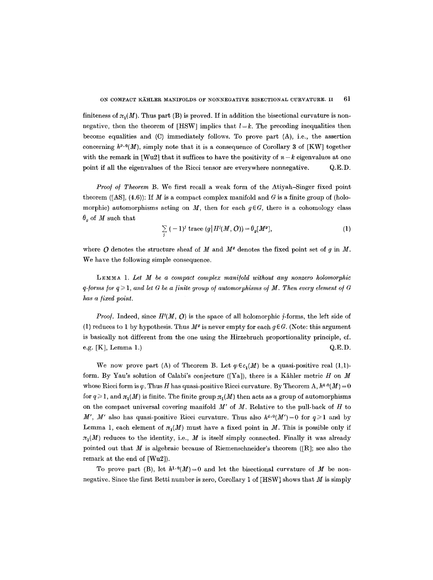finiteness of  $\pi_1(M)$ . Thus part (B) is proved. If in addition the bisectional curvature is nonnegative, then the theorem of [HSW] implies that  $l = k$ . The preceding inequalities then become equalities and (C) immediately follows. To prove part (A), i.e., the assertion concerning  $h^{p,q}(M)$ , simply note that it is a consequence of Corollary 3 of [KW] together with the remark in [Wu2] that it suffices to have the positivity of  $n-k$  eigenvalues at one point if all the eigenvalues of the Rieci tensor are everywhere nonnegative. Q.E.D.

*Proof of Theorem B.* We first recall a weak form of the Atiyah-Singer fixed point theorem ([AS], (4.6)): If M is a compact complex manifold and G is a finite group of (holomorphic) automorphisms acting on M, then for each  $g \in G$ , there is a cohomology class  $\theta_{q}$  of M such that

$$
\sum_{j} (-1)^{j} \operatorname{trace} (g \mid H^{j}(M, O)) = \theta_{g}[M^{g}], \qquad (1)
$$

where O denotes the structure sheaf of M and  $M<sup>g</sup>$  denotes the fixed point set of g in M. We have the following simple consequence.

LEMMA 1. *Let M be a compact complex mani/old without any nonzero holomorphic q-forms for*  $q \ge 1$ *, and let G be a finite group of automorphisms of M. Then every element of G* has a fixed point.

*Proof.* Indeed, since  $H^i(M, 0)$  is the space of all holomorphic j-forms, the left side of (1) reduces to 1 by hypothesis. Thus  $M<sup>g</sup>$  is never empty for each  $q \in G$ . (Note: this argument is basically not different from the one using the Hirzebruch proportionality principle, ef. e.g.  $[K]$ , Lemma 1.)  $Q.E.D.$ 

We now prove part (A) of Theorem B. Let  $\varphi \in c_1(M)$  be a quasi-positive real (1,1)form. By Yau's solution of Calabi's conjecture ([Ya]), there is a Kähler metric H on M whose Ricci form is  $\varphi$ . Thus H has quasi-positive Ricci curvature. By Theorem A,  $h^{q,0}(M) = 0$ for  $q \ge 1$ , and  $\pi_1(M)$  is finite. The finite group  $\pi_1(M)$  then acts as a group of automorphisms on the compact universal covering manifold *M'* of M. Relative to the pull-back of H to M', M' also has quasi-positive Ricci curvature. Thus also  $h^{q,0}(M')=0$  for  $q\geqslant 1$  and by Lemma 1, each element of  $\pi_1(M)$  must have a fixed point in M. This is possible only if  $\pi_1(M)$  reduces to the identity, i.e., M is itself simply connected. Finally it was already pointed out that  $M$  is algebraic because of Riemenschneider's theorem ([R]; see also the remark at the end of [Wu2]).

To prove part (B), let  $h^{1,0}(M) = 0$  and let the bisectional curvature of M be nonnegative. Since the first Betti number is zero, Corollary 1 of [HSW] shows that M is simply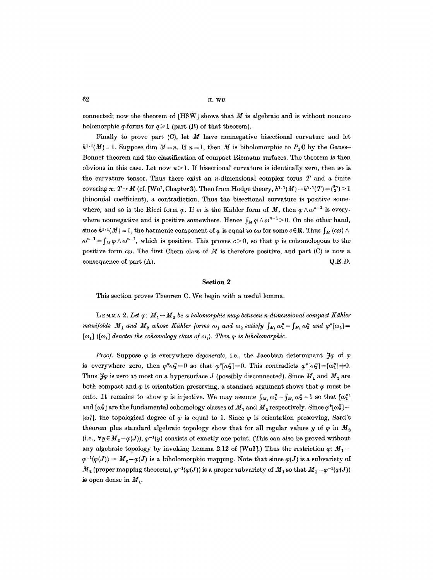$62$  **H. WU** 

connected; now the theorem of  $[$ HSW $]$  shows that  $M$  is algebraic and is without nonzero holomorphic q-forms for  $q \ge 1$  (part (B) of that theorem).

Finally to prove part  $(C)$ , let M have nonnegative bisectional curvature and let  $h^{1,1}(M) = 1$ . Suppose dim  $M = n$ . If  $n = 1$ , then M is biholomorphic to P<sub>1</sub>C by the Gauss-Bonnet theorem and the classification of compact Riemann surfaces. The theorem is then obvious in this case. Let now  $n > 1$ . If bisectional curvature is identically zero, then so is the curvature tensor. Thus there exist an *n*-dimensional complex torus  $T$  and a finite covering  $\pi: T \to M$  (cf. [Wo], Chapter 3). Then from Hodge theory,  $h^{1,1}(M) = h^{1,1}(T) = \binom{2^n}{2} > 1$ (binomial coefficient), a contradiction. Thus the bisectional curvature is positive somewhere, and so is the Ricci form  $\varphi$ . If  $\omega$  is the Kähler form of M, then  $\varphi \wedge \omega^{n-1}$  is everywhere nonnegative and is positive somewhere. Hence  $\int_M \varphi \wedge \omega^{n-1} > 0$ . On the other hand, since  $h^{1,1}(M) = 1$ , the harmonic component of  $\varphi$  is equal to  $c\omega$  for some  $c \in \mathbb{R}$ . Thus  $\int_M (c\omega) \wedge$  $\omega^{n-1} = \int_M \varphi \wedge \omega^{n-1}$ , which is positive. This proves  $c > 0$ , so that  $\varphi$  is cohomologous to the positive form  $co$ . The first Chern class of M is therefore positive, and part (C) is now a consequence of part  $(A)$ .  $Q.E.D.$ 

### **Section 2**

This section proves Theorem C. We begin with a useful lemma.

LEMMA 2. Let  $\varphi: M_1 \rightarrow M_2$  be a holomorphic map between n-dimensional compact Kähler *manifolds*  $M_1$  and  $M_2$  whose Kähler forms  $\omega_1$  and  $\omega_2$  satisfy  $\int_{M_1} \omega_1^n = \int_{M_2} \omega_2^n$  and  $\varphi^*[\omega_2] =$  $[\omega_1]$  ( $[\omega_i]$  denotes the cohomology class of  $\omega_i$ ). Then  $\varphi$  is biholomorphic.

*Proof.* Suppose  $\varphi$  is everywhere *degenerate*, i.e., the Jacobian determinant  $\mathcal{H}\varphi$  of  $\varphi$ is everywhere zero, then  $\varphi^*\omega_2^n=0$  so that  $\varphi^*[\omega_2^n]=0$ . This contradicts  $\varphi^*[\omega_2^n]=[\omega_1^n]+0$ . Thus  $\mathcal{H}\varphi$  is zero at most on a hypersurface J (possibly disconnected). Since  $M_1$  and  $M_2$  are both compact and  $\varphi$  is orientation preserving, a standard argument shows that  $\varphi$  must be onto. It remains to show  $\varphi$  is injective. We may assume  $\int_{M_1} \omega_1^n = \int_{M_2} \omega_2^n = 1$  so that  $[\omega_1^n]$ and  $[\omega_2^n]$  are the fundamental cohomology classes of  $M_1$  and  $M_2$  respectively. Since  $\varphi^*[\omega_2^n]$  =  $[\omega_1^n]$ , the topological degree of  $\varphi$  is equal to 1. Since  $\varphi$  is orientation preserving, Sard's theorem plus standard algebraic topology show that for all regular values y of  $\varphi$  in  $M_{2}$ (i.e.,  $\forall y \in M_{2} - \varphi(J)$ ),  $\varphi^{-1}(y)$  consists of exactly one point. (This can also be proved without any algebraic topology by invoking Lemma 2.12 of [Wul].) Thus the restriction  $\varphi$ :  $M_1 \varphi^{-1}(\varphi(J)) \to M_2-\varphi(J)$  is a biholomorphic mapping. Note that since  $\varphi(J)$  is a subvariety of  $M_2$  (proper mapping theorem),  $\varphi^{-1}(\varphi(J))$  is a proper subvariety of  $M_1$  so that  $M_1 - \varphi^{-1}(\varphi(J))$ is open dense in  $M_1$ .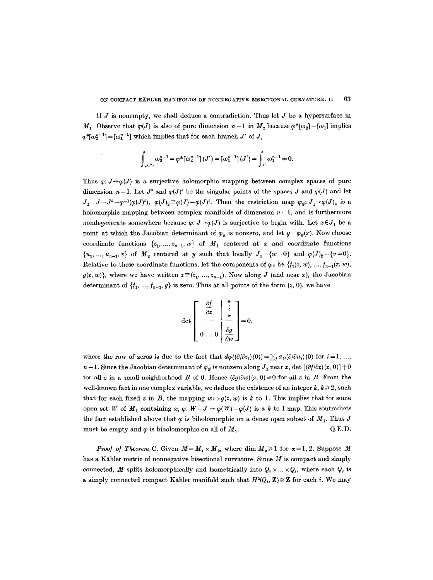If  $J$  is nonempty, we shall deduce a contradiction. Thus let  $J$  be a hypersurface in  $M_1$ . Observe that  $\varphi(J)$  is also of pure dimension  $n-1$  in  $M_2$  because  $\varphi^*[\omega_2] = [\omega_1]$  implies  $\varphi^*[\omega_2^{n-1}] = [\omega_1^{n-1}]$  which implies that for each branch J' of J,

$$
\int_{\varphi(J')} \omega_2^{n-1} = \varphi^*[\omega_2^{n-1}](J') = [\omega_1^{n-1}](J') = \int_{J'} \omega_1^{n-1} + 0.
$$

Thus  $\varphi: J \rightarrow \varphi(J)$  is a surjective holomorphic mapping between complex spaces of pure dimension  $n-1$ . Let  $J^s$  and  $\varphi(J)^s$  be the singular points of the spaces J and  $\varphi(J)$  and let  $J_1 \equiv J - J^s - \varphi^{-1}(\varphi(J)^s)$ ,  $\varphi(J)_2 \equiv \varphi(J) - \varphi(J)^s$ . Then the restriction map  $\varphi_{\#}: J_1 \rightarrow \varphi(J)_2$  is a holomorphic mapping between complex manifolds of dimension  $n-1$ , and is furthermore nondegenerate somewhere because  $\varphi: J \rightarrow \varphi(J)$  is surjective to begin with. Let  $x \in J_1$  be a point at which the Jacobian determinant of  $\varphi_{\#}$  is nonzero, and let  $y = \varphi_{\#}(x)$ . Now choose coordinate functions  $\{z_1, ..., z_{n-1}, w\}$  of  $M_1$  centered at x and coordinate functions  $\{u_1, ..., u_{n-1}, v\}$  of  $M_2$  centered at y such that locally  $J_1 = \{w=0\}$  and  $\varphi(J)_2 = \{v=0\}.$ Relative to these coordinate functions, let the components of  $\varphi_{\#}$  be  $\{f_1(z, w), ..., f_{n-1}(z, w),\}$  $g(z, w)$ , where we have written  $z \equiv (z_1, ..., z_{n-1})$ . Now along J (and near x), the Jacobian determinant of  $\{f_1, ..., f_{n-1}, g\}$  is zero. Thus at all points of the form  $(z, 0)$ , we have

$$
\det \left[\begin{array}{c|c}\n\frac{\partial f}{\partial z} & \begin{array}{c}\n\ast \\
\vdots \\
\ast \\
0 \end{array}\n\end{array}\right] = 0,
$$

where the row of zeros is due to the fact that  $d\varphi((\partial/\partial z_i)(0))=\sum_i a_{ij}(\partial/\partial u_j)(0)$  for  $i=1, \ldots, n$  $n-1$ . Since the Jacobian determinant of  $\varphi_{\#}$  is nonzero along  $J_1$  near x, det  $[(\partial f/\partial z)(z, 0)]+0$ for all z in a small neighborhood B of 0. Hence  $(\partial g/\partial w)(z, 0) \equiv 0$  for all z in B. From the well-known fact in one complex variable, we deduce the existence of an integer  $k, k \geq 2$ , such that for each fixed z in B, the mapping  $w \mapsto g(z, w)$  is k to 1. This implies that for some open set W of  $M_1$  containing x,  $\varphi: W-J \to \varphi(W)-\varphi(J)$  is a k to 1 map. This contradicts the fact established above that  $\varphi$  is biholomorphic on a dense open subset of  $M_1$ . Thus J must be empty and  $\varphi$  is biholomorphic on all of  $M_1$ .  $Q.E.D.$ 

*Proof of Theorem C.* Given  $M = M_1 \times M_2$ , where dim  $M_\alpha \geq 1$  for  $\alpha = 1, 2$ . Suppose M has a Kähler metric of nonnegative bisectional curvature. Since  $M$  is compact and simply connected, M splits holomorphically and isometrically into  $Q_1 \times ... \times Q_s$ , where each  $Q_i$  is a simply connected compact Kähler manifold such that  $H^{2}(Q_i, \mathbf{Z}) \cong \mathbf{Z}$  for each i. We may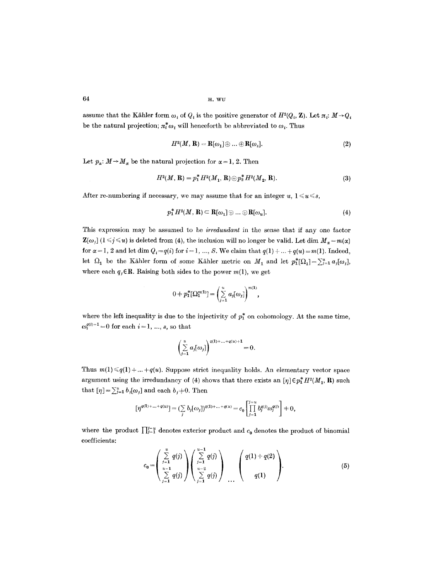64 **... WU ... WU ... WU ... WU** 

assume that the Kähler form  $\omega_i$  of  $Q_i$  is the positive generator of  $H^2(Q_i, \mathbf{Z})$ . Let  $\pi_i$ :  $M \rightarrow Q_i$ be the natural projection;  $\pi_t^* \omega_i$  will henceforth be abbreviated to  $\omega_i$ . Thus

$$
H^2(M,\mathbf{R}) = \mathbf{R}[\omega_1] \oplus \ldots \oplus \mathbf{R}[\omega_s]. \tag{2}
$$

Let  $p_{\alpha}: M \rightarrow M_{\alpha}$  be the natural projection for  $\alpha = 1, 2$ . Then

$$
H^{2}(M, \mathbf{R}) = p_{1}^{*} H^{2}(M_{1}, \mathbf{R}) \oplus p_{2}^{*} H^{2}(M_{2}, \mathbf{R}). \tag{3}
$$

After re-numbering if necessary, we may assume that for an integer  $u, 1 \leq u \leq s$ ,

$$
p_1^* H^2(M, R) \subset R[\omega_1] \oplus \ldots \oplus R[\omega_u]. \tag{4}
$$

This expression may be assumed to be *irredundant* in the sense that if any one factor  $\mathbf{Z}[\omega_j]$  ( $1 \leq j \leq u$ ) is deleted from (4), the inclusion will no longer be valid. Let dim  $M_u = m(\alpha)$ for  $\alpha = 1, 2$  and let dim  $Q_i = q(i)$  for  $i = 1, ..., S$ . We claim that  $q(1) + ... + q(u) = m(1)$ . Indeed, let  $\Omega_1$  be the Kähler form of some Kähler metric on  $M_1$  and let  $p_1^*[\Omega_1] = \sum_{i=1}^u a_i[\omega_i],$ where each  $q_i \in \mathbb{R}$ . Raising both sides to the power  $m(1)$ , we get

$$
0 \doteq p_1^* [\Omega_1^{m(1)}] = \left(\sum_{j=1}^u a_j [\omega_j]\right)^{m(1)},
$$

where the left inequality is due to the injectivity of  $p_1^*$  on cohomology. At the same time,  $\omega_i^{q(i)+1} = 0$  for each  $i = 1, ..., s$ , so that

$$
\left(\sum_{j=1}^u a_j[\omega_j]\right)^{q(1)+\ldots+q(u)+1}=0.
$$

Thus  $m(1) \leq q(1) + ... + q(u)$ . Suppose strict inequality holds. An elementary vector space argument using the irredundancy of (4) shows that there exists an  $[\eta] \in p_1^* H^2(M_1, R)$  such that  $[\eta] = \sum_{j=1}^{u} b_j[\omega_j]$  and each  $b_j \neq 0$ . Then

$$
[\eta^{q(1)+...+q(u)}] = (\sum_j b_j[\omega_j])^{q(1)+...+q(u)} = c_0 \left[ \prod_{j=1}^{j=u} b_j^{q(j)} \omega_j^{q(j)} \right] \neq 0,
$$

where the product  $\prod_{j=1}^{j=u}$  denotes exterior product and  $c_0$  denotes the product of binomial coefficients:

$$
c_0 = \left(\sum_{\substack{j=1\\j=1}}^{u} q(j)\right) \left(\sum_{\substack{j=1\\j\geq 1}}^{u-1} q(j)\right) \left(\sum_{\substack{j=1\\j\geq 1}}^{u-1} q(j)\right) \left(\frac{q(1)+q(2)}{q(1)}\right).
$$
(5)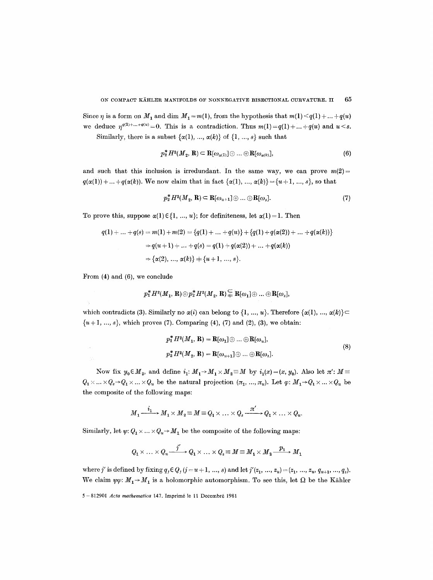Since  $\eta$  is a form on  $M_1$  and dim  $M_1 = m(1)$ , from the hypothesis that  $m(1) < q(1) + ... + q(u)$ we deduce  $\eta^{q(1)+...+q(u)}=0$ . This is a contradiction. Thus  $m(1)=q(1)+...+q(u)$  and  $u < s$ .

Similarly, there is a subset  $\{\alpha(1), ..., \alpha(k)\}\$  of  $\{1, ..., s\}$  such that

$$
p_2^* H^2(M_2, \mathbf{R}) \subset \mathbf{R}[\omega_{\alpha(1)}] \oplus \ldots \oplus \mathbf{R}[\omega_{\alpha(k)}],\tag{6}
$$

and such that this inclusion is irredundant. In the same way, we can prove  $m(2)$  =  $q(\alpha(1)) + ... + q(\alpha(k))$ . We now claim that in fact  $\{\alpha(1), ..., \alpha(k)\} = \{u+1, ..., s\}$ , so that

$$
p_2^* H^2(M_2, \mathbf{R}) \subset \mathbf{R}[\omega_{u+1}] \oplus \ldots \oplus \mathbf{R}[\omega_s]. \tag{7}
$$

To prove this, suppose  $\alpha(1) \in \{1, ..., u\}$ ; for definiteness, let  $\alpha(1) = 1$ . Then

$$
q(1) + \ldots + q(s) = m(1) + m(2) = \{q(1) + \ldots + q(u)\} + \{q(1) + q(\alpha(2)) + \ldots + q(\alpha(k))\}
$$
  
\n
$$
\Rightarrow q(u+1) + \ldots + q(s) = q(1) + q(\alpha(2)) + \ldots + q(\alpha(k))
$$
  
\n
$$
\Rightarrow \{\alpha(2), \ldots, \alpha(k)\} = \{u+1, \ldots, s\}.
$$

From (4) and (6), we conclude

$$
p_1^*H^2(M_1,\mathbf{R})\oplus p_2^*H^2(M_2,\mathbf{R})\subseteqq \mathbf{R}[\omega_1]\oplus\ldots\oplus\mathbf{R}[\omega_s],
$$

which contradicts (3). Similarly no  $\alpha(i)$  can belong to  $\{1, ..., u\}$ . Therefore  $\{\alpha(1), ..., \alpha(k)\}$  $\{u+1, ..., s\}$ , which proves (7). Comparing (4), (7) and (2), (3), we obtain:

$$
p_1^* H^2(M_1, \mathbf{R}) = \mathbf{R}[\omega_1] \oplus \dots \oplus \mathbf{R}[\omega_u],
$$
  
\n
$$
p_2^* H^2(M_2, \mathbf{R}) = \mathbf{R}[\omega_{u+1}] \oplus \dots \oplus \mathbf{R}[\omega_s].
$$
\n(8)

Now fix  $y_0 \in M_2$ , and define  $i_1: M_1 \rightarrow M_1 \times M_2 \equiv M$  by  $i_1(x)=(x, y_0)$ . Also let  $\pi': M \equiv$  $Q_1 \times \ldots \times Q_s \rightarrow Q_1 \times \ldots \times Q_u$  be the natural projection  $(\pi_1, ..., \pi_u)$ . Let  $\varphi: M_1 \rightarrow Q_1 \times \ldots \times Q_u$  be the composite of the following maps:

$$
M_1 \xrightarrow{i_1} M_1 \times M_2 \equiv M \equiv Q_1 \times \ldots \times Q_s \xrightarrow{\pi'} Q_1 \times \ldots \times Q_u.
$$

Similarly, let  $\psi: Q_1 \times \ldots \times Q_u \to M_1$  be the composite of the following maps:

$$
Q_1 \times \ldots \times Q_u \xrightarrow{j'} Q_1 \times \ldots \times Q_s \equiv M \equiv M_1 \times M_2 \xrightarrow{p_1} M_1
$$

where *j'* is defined by fixing  $q_j \in Q_j$  (*j* = *u* + 1, ..., *s*) and let *j'*( $z_1$ , ...,  $z_u$ ) = ( $z_1$ , ...,  $z_u$ ,  $q_{u+1}$ , ...,  $q_s$ ). We claim  $\psi \varphi: M_1 \rightarrow M_1$  is a holomorphic automorphism. To see this, let  $\Omega$  be the Kähler

<sup>5 - 812901</sup> *Acta mathematica* 147. Imprimé le 11 Decembré 1981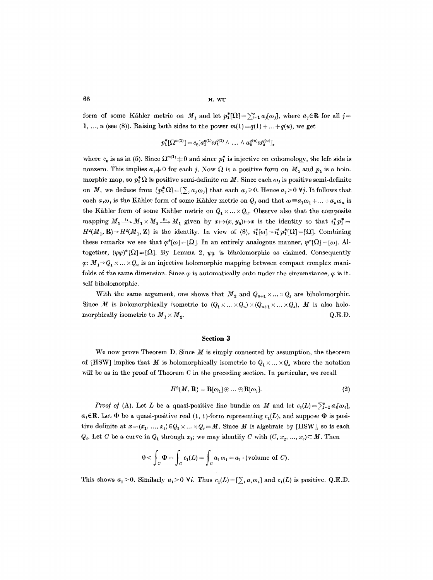$66$  H. WU

form of some Kähler metric on  $M_1$  and let  $p_1^*[\Omega]=\sum_{j=1}^u a_j[\omega_j]$ , where  $a_j \in \mathbb{R}$  for all  $j=$ 1, ..., u (see (8)). Raising both sides to the power  $m(1) = q(1) + ... + q(u)$ , we get

$$
p_1^*[\Omega^{m(1)}] = c_0[a_1^{q(1)}\omega_1^{q(1)}\wedge \ldots \wedge a_u^{q(u)}\omega_u^{q(u)}],
$$

where  $c_0$  is as in (5). Since  $\Omega^{m(1)} \neq 0$  and since  $p_1^*$  is injective on cohomology, the left side is nonzero. This implies  $a_j \neq 0$  for each j. Now  $\Omega$  is a positive form on  $M_1$  and  $p_1$  is a holomorphic map, so  $p_1^*\Omega$  is positive semi-definite on M. Since each  $\omega_i$  is positive semi-definite on M, we deduce from  $[p_1^* \Omega] = [\sum_i a_i \omega_i]$  that each  $a_i \ge 0$ . Hence  $a_i > 0$  Vj. It follows that each  $a_j\omega_j$  is the Kähler form of some Kähler metric on  $Q_j$  and that  $\omega = a_1\omega_1 + ... + a_u\omega_u$  is the Kähler form of some Kähler metric on  $Q_1 \times ... \times Q_u$ . Observe also that the composite mapping  $M_1 \xrightarrow{i_*} M_1 \times M_2 \xrightarrow{p_1} M_1$  given by  $x \mapsto (x, y_0) \mapsto x$  is the identity so that  $i_1^* p_1^* =$  $H^{2}(M_1, R) \rightarrow H^{2}(M_1, Z)$  is the identity. In view of (8),  $i_{1}^{*}[\omega] = i_{1}^{*}p_{1}^{*}[\Omega] = [\Omega]$ . Combining these remarks we see that  $\varphi^*[\omega] = [\Omega]$ . In an entirely analogous manner,  $\psi^*[\Omega] = [\omega]$ . Altogether,  $(\psi \varphi)^*[\Omega] = [\Omega]$ . By Lemma 2,  $\psi \varphi$  is biholomorphic as claimed. Consequently  $\varphi: M_1 \rightarrow Q_1 \times ... \times Q_u$  is an injective holomorphic mapping between compact complex manifolds of the same dimension. Since  $\varphi$  is automatically onto under the circumstance,  $\varphi$  is itself biholomorphic.

With the same argument, one shows that  $M_2$  and  $Q_{u+1} \times ... \times Q_s$  are biholomorphic. Since M is holomorphically isometric to  $(Q_1 \times ... \times Q_u) \times (Q_{u+1} \times ... \times Q_s)$ , M is also holomorphically isometric to  $M_1 \times M_2$ . Q.E.D.

## **Section 3**

We now prove Theorem D. Since  $M$  is simply connected by assumption, the theorem of [HSW] implies that M is holomorphically isometric to  $Q_1 \times ... \times Q_s$  where the notation will be as in the proof of Theorem C in the preceding section. In particular, we recall

$$
H^2(M, \mathbf{R}) = \mathbf{R}[\omega_1] \oplus \ldots \oplus \mathbf{R}[\omega_s]. \tag{2}
$$

*Proof of (A).* Let L be a quasi-positive line bundle on M and let  $c_1(L) = \sum_{i=1}^{s} a_i[\omega_i],$  $a_i \in \mathbb{R}$ . Let  $\Phi$  be a quasi-positive real (1, 1)-form representing  $c_1(L)$ , and suppose  $\Phi$  is positive definite at  $x = (x_1, ..., x_s) \in Q_1 \times ... \times Q_s \equiv M$ . Since M is algebraic by [HSW], so is each  $Q_i$ . Let C be a curve in  $Q_1$  through  $x_1$ ; we may identify C with  $(C, x_2, ..., x_s) \subseteq M$ . Then

$$
0 < \int_C \Phi = \int_C c_1(L) = \int_C a_1 \omega_1 = a_1 \cdot (\text{volume of } C),
$$

This shows  $a_1 > 0$ . Similarly  $a_i > 0$  Vi. Thus  $c_1(L) = [\sum_i a_i \omega_i]$  and  $c_1(L)$  is positive. Q.E.D.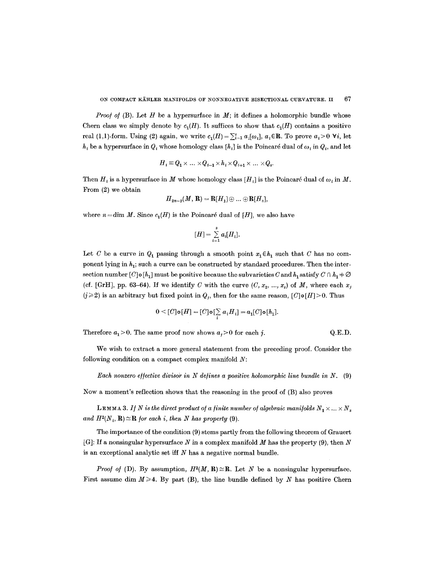*Proof of (B).* Let  $H$  be a hypersurface in  $M$ ; it defines a holomorphic bundle whose Chern class we simply denote by  $c_1(H)$ . It suffices to show that  $c_1(H)$  contains a positive real (1,1)-form. Using (2) again, we write  $c_1(H) = \sum_{i=1}^s a_i[\omega_i]$ ,  $a_i \in \mathbb{R}$ . To prove  $a_i > 0$   $\forall i$ , let  $h_i$  be a hypersurface in  $Q_i$  whose homology class  $[h_i]$  is the Poincaré dual of  $\omega_i$  in  $Q_i$ , and let

$$
H_i \equiv Q_1 \times \ldots \times Q_{i-1} \times h_i \times Q_{i+1} \times \ldots \times Q_s.
$$

Then H, is a hypersurface in M whose homology class  $[H_i]$  is the Poincaré dual of  $\omega_i$  in M. From (2) we obtain

$$
H_{2n-2}(M,\mathbf{R})=\mathbf{R}[H_1]\oplus...\oplus\mathbf{R}[H_s],
$$

where  $n = \dim M$ . Since  $c_1(H)$  is the Poincaré dual of [H], we also have

$$
[H] = \sum_{i=1}^s a_i[H_i].
$$

Let C be a curve in  $Q_1$  passing through a smooth point  $x_1 \in h_1$  such that C has no component lying in  $h_1$ ; such a curve can be constructed by standard procedures. Then the intersection number  $[C] \circ [h_1]$  must be positive because the subvarieties C and  $h_1$  satisfy  $C \cap h_1 + \emptyset$ (cf. [GrH], pp. 63-64). If we identify C with the curve  $(C, x_2, ..., x_s)$  of M, where each  $x_j$  $(j \geq 2)$  is an arbitrary but fixed point in  $Q_j$ , then for the same reason,  $[C] \circ [H] > 0$ . Thus

$$
0 \leq [C] \mathbf{o}[H] = [C] \mathbf{o} \left[\sum_i a_i H_i\right] = a_1 [C] \mathbf{o}[h_1].
$$

Therefore  $a_1 > 0$ . The same proof now shows  $a_j > 0$  for each j.  $Q.E.D.$ 

We wish to extract a more general statement from the preceding proof. Consider the following condition on a compact complex manifold  $N$ :

*Each nonzero effective divisor in N defines a positive holomorphic line bundle in N.* (9)

Now a moment's reflection shows that the reasoning in the proof of (B) also proves

**LEMMA 3.** If N is the direct product of a finite number of algebraic manifolds  $N_1 \times ... \times N_s$ and  $H^2(N_i, \mathbf{R}) \cong \mathbf{R}$  for each i, then N has property (9).

The importance of the condition (9) stems partly from the following theorem of Grauert [G]: If a nonsingular hypersurface N in a complex manifold  $M$  has the property (9), then N is an exceptional analytic set iff  $N$  has a negative normal bundle.

*Proof of* (D). By assumption,  $H^2(M, R) \cong R$ . Let N be a nonsingular hypersurface. First assume dim  $M \ge 4$ . By part (B), the line bundle defined by N has positive Chern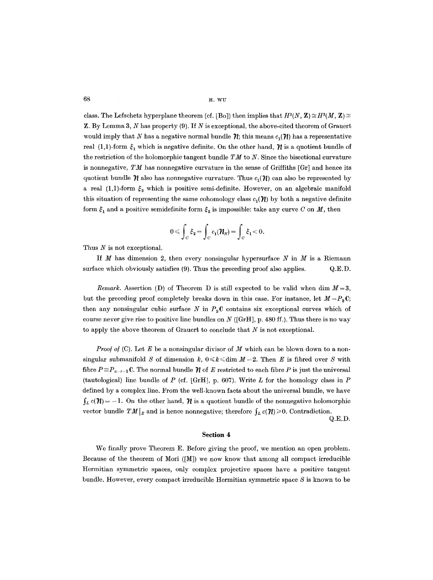$68$  H. WU

class. The Lefschetz hyperplane theorem (cf. [Bo]) then implies that  $H^2(N, \mathbf{Z}) \cong H^2(M, \mathbf{Z}) \cong$  $\mathbf{Z}$ . By Lemma 3, N has property (9). If N is exceptional, the above-cited theorem of Grauert would imply that N has a negative normal bundle  $\mathcal{H}$ ; this means  $c_1(\mathcal{H})$  has a representative real (1,1)-form  $\xi_1$  which is negative definite. On the other hand,  $\eta$  is a quotient bundle of the restriction of the holomorphic tangent bundle  $TM$  to  $N$ . Since the bisectional curvature is nonnegative,  $TM$  has nonnegative curvature in the sense of Griffiths  $\lfloor \text{Gr} \rfloor$  and hence its quotient bundle  $\mathcal{U}$  also has nonnegative curvature. Thus  $c_1(\mathcal{U})$  can also be represented by a real (1,1)-form  $\xi_2$  which is positive semi-definite. However, on an algebraic manifold this situation of representing the same cohomology class  $c_1(\mathcal{H})$  by both a negative definite form  $\zeta_1$  and a positive semidefinite form  $\zeta_2$  is impossible: take any curve C on M, then

$$
0\leqslant \int_C \xi_2 = \int_C c_1(\boldsymbol{\mathcal{H}}_N) = \int_C \xi_1 < 0.
$$

Thus  $N$  is not exceptional.

If  $M$  has dimension 2, then every nonsingular hypersurface  $N$  in  $M$  is a Riemann surface which obviously satisfies  $(9)$ . Thus the preceding proof also applies.  $Q.E.D.$ 

*Remark.* Assertion (D) of Theorem D is still expected to be valid when dim *M=3,*  but the preceding proof completely breaks down in this case. For instance, let  $M=P_aC$ ; then any nonsingular cubic surface N in  $P_3C$  contains six exceptional curves which of course never give rise to positive line bundles on N ([GrH], p. 480 ff.). Thus there is no way to apply the above theorem of Grauert to conclude that  $N$  is not exceptional.

*Proof of* (C). Let E be a nonsingular divisor of M which can be blown down to a nonsingular submanifold S of dimension k,  $0 \le k \le \dim M - 2$ . Then E is fibred over S with fibre  $P = P_{n-r-1}$ C. The normal bundle  $\mathcal N$  of E restricted to each fibre P is just the universal (tautological) line bundle of P (cf. [GrH], p. 607). Write L for the homology class in P defined by a complex line. From the well-known facts about the universal bundle, we have  $\int_{L} c(\mathcal{H}) = -1$ . On the other hand,  $\mathcal{H}$  is a quotient bundle of the nonnegative holomorphic vector bundle  $TM|_E$  and is hence nonnegative; therefore  $\int_L c(\mathcal{H}) \geq 0$ . Contradiction. Q.E.D.

**Section 4** 

We finally prove Theorem E. Before giving the proof, we mention an open problem. Because of the theorem of Mori  $([M])$  we now know that among all compact irreducible Hermitian symmetric spaces, only complex projective spaces have a positive tangent bundle. However, every compact irreducible Hermitian symmetric space  $S$  is known to be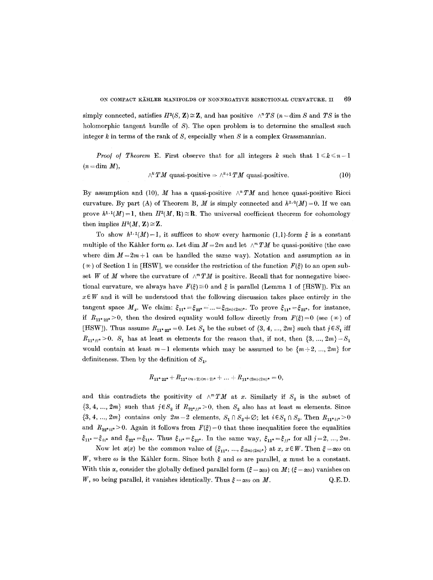simply connected, satisfies  $H^2(S, \mathbf{Z}) \cong \mathbf{Z}$ , and has positive  $\wedge^n TS$  (*n* = dim S and *TS* is the holomorphic tangent bundle of S). The open problem is to determine the smallest such integer  $k$  in terms of the rank of  $S$ , especially when  $S$  is a complex Grassmannian.

*Proof of Theorem E.* First observe that for all integers k such that  $1 \leq k \leq n-1$  $(n = \dim M)$ ,

$$
\wedge^k TM \text{ quasi-positive} \Rightarrow \wedge^{k+1} TM \text{ quasi-positive.}
$$
 (10)

By assumption and (10), M has a quasi-positive  $\wedge^n TM$  and hence quasi-positive Ricci curvature. By part (A) of Theorem B, M is simply connected and  $h^{2,0}(M) = 0$ . If we can prove  $h^{1,1}(M) = 1$ , then  $H^2(M, R) \cong R$ . The universal coefficient theorem for cohomology then implies  $H^2(M, \mathbf{Z}) \cong \mathbf{Z}$ .

To show  $h^{1,1}(M)=1$ , it suffices to show every harmonic (1,1)-form  $\xi$  is a constant multiple of the Kähler form  $\omega$ . Let dim  $M = 2m$  and let  $\wedge^m TM$  be quasi-positive (the case where dim  $M = 2m + 1$  can be handled the same way). Notation and assumption as in  $(\star)$  of Section 1 in [HSW], we consider the restriction of the function  $F(\xi)$  to an open subset W of M where the curvature of  $\wedge^m TM$  is positive. Recall that for nonnegative bisectional curvature, we always have  $F(\xi) \equiv 0$  and  $\xi$  is parallel (Lemma 1 of [HSW]). Fix an  $x \in W$  and it will be understood that the following discussion takes place entirely in the tangent space *M<sub>x</sub>*. We claim:  $\xi_{11^*} = \xi_{22^*} = ... = \xi_{(2m)(2m)^*}$ . To prove  $\xi_{11^*} = \xi_{22^*}$ , for instance, if  $R_{11^*22^*}>0$ , then the desired equality would follow directly from  $F(\xi)=0$  (see  $(\star)$  of [HSW]). Thus assume  $R_{11*22*} = 0$ . Let  $S_1$  be the subset of  $\{3, 4, ..., 2m\}$  such that  $j \in S_1$  iff  $R_{11^{*}i^{*}} > 0$ .  $S_1$  has at least m elements for the reason that, if not, then  $\{3, ..., 2m\} - S_1$ would contain at least  $m-1$  elements which may be assumed to be  $\{m+2, ..., 2m\}$  for definiteness. Then by the definition of  $S_1$ ,

$$
R_{\mathbf{11}^* \, \mathbf{22}^*} + R_{\mathbf{11}^*(m+2)(m+2)^*} + \ldots + R_{\mathbf{11}^*(2m)(2m)^*} = 0,
$$

and this contradicts the positivity of  $\wedge^m TM$  at x. Similarly if  $S_2$  is the subset of  $\{3, 4, ..., 2m\}$  such that  $j \in S_2$  if  $R_{22^*jj^*} > 0$ , then  $S_2$  also has at least m elements. Since  $\{3, 4, ..., 2m\}$  contains only  $2m-2$  elements,  $S_1 \cap S_2 \neq \emptyset$ ; let  $i \in S_1 \cap S_2$ . Then  $R_{11^*i i^*} > 0$ and  $R_{22^*ii^*} > 0$ . Again it follows from  $F(\xi) = 0$  that these inequalities force the equalities  $\xi_{11^*}=\xi_{ii^*}$  and  $\xi_{22^*}=\xi_{11^*}$ . Thus  $\xi_{ii^*}=\xi_{22^*}$ . In the same way,  $\xi_{11^*}=\xi_{jj^*}$  for all  $j=2, ..., 2m$ .

Now let  $\alpha(x)$  be the common value of  $\{\xi_{11^*}, ..., \xi_{(2m)(2m)^*}\}\$  at x,  $x \in W$ . Then  $\xi = \alpha\omega$  on W, where  $\omega$  is the Kähler form. Since both  $\xi$  and  $\omega$  are parallel,  $\alpha$  must be a constant. With this  $\alpha$ , consider the globally defined parallel form  $(\xi - \alpha \omega)$  on  $M$ ;  $(\xi - \alpha \omega)$  vanishes on W, so being parallel, it vanishes identically. Thus  $\xi = \alpha \omega$  on M.  $Q.E.D.$